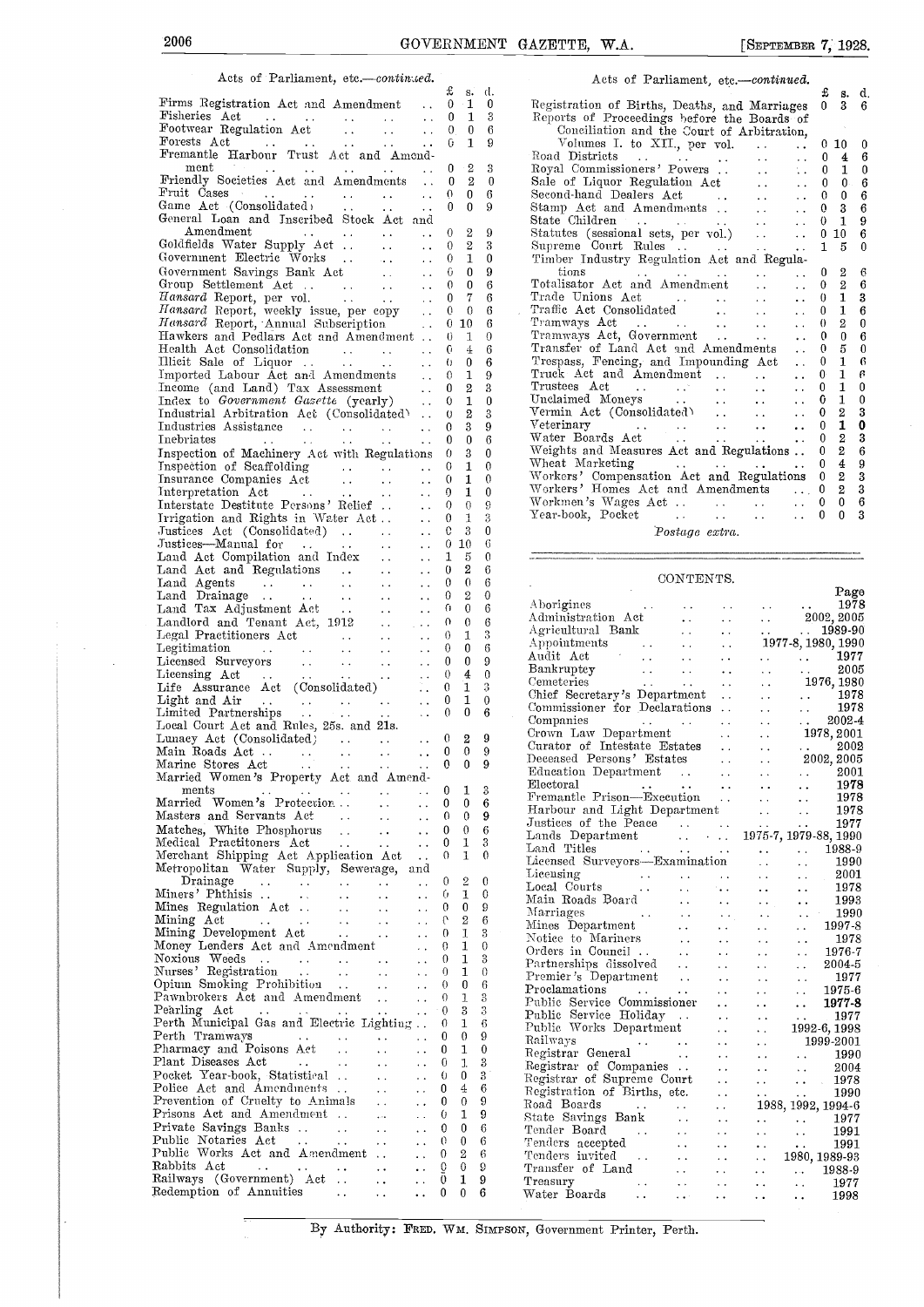-9

 $\frac{3}{6}$ 

0  $\Omega$ 2

 $\frac{6}{6}$ 

 $\Omega$ 

0

2

 $\theta$ 

 $\mathbf{0}$ 6

2

## Acts of Parliament, etc.-continued.

£ (1. s.Firms Registration Act and Amendment .. Fisheries Act .. . . Footwear Regulation Act . . Forests Act . . . . Fremantle Harbour Trust Act and Amond-0 1 $0 \quad 1 \quad 3$ 0 0 $\mathbf{1}$  $\cdot$  9. ment<br>
Friendly Societies Act and Amendments .. 0 2 0<br>
Fruit Cases ... .. .. .. .. 0 0 6<br>
Game Act (Consolidated) ... .. .. 0 0 9<br>
General Loan and Inscribed Stock Act and<br>
Amendment ... .. .. 0 2 9<br>
Goldfields Water Supply 2 3 $\overline{2}$  $\Omega$  $0\quad 6$ 0 0 Amendment . . Goldfields Water Supply Aet . . Government Electric Works .. Government Savings Bank Act Group Settlement Act .. . Hansard Report, per vol. Hansard Report, weekly issue, per copy .. Hansard Report, -Annual Subscription . Hawkers and Pedlars Act and Amendment . . Health Act Consolidation . . . Illicit Sale of Liquor . Imported Labour Act and Amendments 0  $0 \quad 1 \quad 0$  $0<sub>0</sub>$  $0 \quad 9$  $\Omega$ 0 70 0 60 10 010 4 60 0  $\Omega$  $\ddot{\mathbf{0}}$ 2 Index to Government Gusette (yearly) .. 0 1 0<br>
Industrial Arbitration Act (Consolidated) .. 0 2 3<br>
Industries Assistance .. . . . . . 0 3 9<br>
Inebriates .. . . . . . . . . 0 0 6<br>
Inspection of Machinery Act with Regulation 1 $\theta$ 0 3  $0 \quad 0 \quad 6 \quad \frac{1}{2}$ 0 3Inspection of Scaffolding<br>
Inspection of Scaffolding<br>
Insurance Companies Act  $\begin{matrix}0\\0\end{matrix}$ 1Insurance Companies Act<br>
Interpretation Act<br>
Interstate Desitinte Persons' Relief<br>
Interstate Desiting Relief<br>
Irrigation and Rights in Water Act<br>
Justices Act (Consolidated)<br>
Justices—Manual for<br>
Land Act Compilation and  $0$  1 0  $\begin{matrix} 0 & 1 & 0 \\ 0 & 0 & 9 \end{matrix}$ 10 0  $\Omega$ 1 $\Omega$  $\begin{array}{ccc} 3 & 0 \\ 10 & 6 \end{array}$ 0 10 1 5 00 2 60 0 $\begin{matrix}0\\0\end{matrix}$  $\begin{matrix}2 & 0\\0 & 6\end{matrix}$ 0 0 Landlord and Tenant Act, 1912  $0 \t 6 \t 4$ Legal Practitioners Act Legitimation 0 31Licensed Surveyors Licensing Act .. . Life Assurance Act (Consolidated)  $\ddot{\phantom{a}}$  .  $\begin{matrix} 0 \\ 0 \end{matrix}$  $\begin{matrix} 0 & 6 \\ 0 & 9 \end{matrix}$ 0 0  $\theta$ 4  $\Omega$ 1Light and Air . . . . Limited Partnerships Local Court Act and Rules, 25s. and 21s.  $\begin{matrix} 0 & 1 & 0 \\ 0 & 0 & 6 \end{matrix}$ 1  $\overline{0}$ Lunacy Act (Consolidated) Main Roads Act . . Marine Stores Aet . .  $\begin{matrix}0\\0\end{matrix}$ 2 9 0  $\ddot{\phantom{a}}$  $\overline{0}$ Marine Stores Act ... ... ... ... 0<br>
Married Women's Property Act and Amend-<br>
Married Women : Protection ... ... ... ... 0  $\begin{matrix}0\\0\end{matrix}$ ments ... ... ...<br>Married Women's Protection ..  $\sim$   $\sim$ Married Women's Protection . . Masters and Servants Act  $\sim$   $\sim$ 0 0 $0 \quad 0$ Masters and Servants Act . . . . . . . . 0 0 9<br>
Medical Practitoners Act . . . . . . . 0 1 3<br>
Merchant Shipping Act Application Act . . 0 1 0<br>
Metropolitan Water Supply, Sewerage, and<br>
Drainage . . . . . . . . . . 0 2 0<br> 0 -1  $1 - 3$ 0 1 $\Omega$  $\mathbf{1}$ 1  $\begin{matrix} 0 & 0 & 9 \\ 0 & 2 & 6 \end{matrix}$ Mines Regulation Act . .Mining Act . Mining Development Act Money Lenders Act and Amendment Noxious Weeds . . . Nurses' Registration . . . . Opium Smoking Prohibition .. Pawnbrokers Act and Amendment  $\ddot{\phantom{0}}$  $\sim$   $\sim$ 2 $\begin{matrix}0\\0\end{matrix}$  $\ddotsc$ 1  $\sim$  .  $0 \quad 1 \quad 0$ 0 1  $\ddot{\phantom{a}}$  $\Omega$  $\sim$   $\sim$ 1 $0 \quad 0$  $\sim$   $\sim$  $0 \quad 6$  $\Omega$ 1 Pearling Act .. . . . Perth Municipal Gas and Electric. Lighting . Perth Tramways . . . . . Pharmacy and Poisons Act . . Plant Diseases Act  $\mathbf{B}$ 3  $\frac{1}{0}$   $\frac{6}{9}$ 1  $\Omega$  $0 \quad 9$  $0$  1  $0$  $\mathbf{I}$ Pocket Year-book, Statistical .. . . . . . 0<br>
Police Act and Amendments .. . . . . 0<br>
Prevention of Cruelty to Animals .. . . 0<br>
Prisons Act and Amendment .. . . . . . 0 0  $\frac{4}{0}$   $\frac{6}{9}$ 4 Prevention of Cruelty to Animals<br>
Prisons Act and Amendment<br>  $\begin{array}{ccc}\n0 & \cdots & 0 \\
\hline\n\end{array}$ <br>
Private Savings Banks<br>  $\begin{array}{ccc}\n0 & \cdots & 0 \\
\hline\n\end{array}$ <br>
Public Works Act and Amendment<br>  $\begin{array}{ccc}\n0 & \cdots & 0 \\
\hline\n\end{array}$ <br>
Rabbits Act  $\begin$ 0 0 10 0 6 $\Omega$  $\begin{array}{cc} 2 & 6 \\ 0 & 9 \end{array}$ 2 6  $\begin{matrix} 0 & 0 \\ 0 & 1 \end{matrix}$  $0$  1 9 0

2  $\mathbf{0}$ 6 9 0 Sale of Liquor Regulation Act .. <sup>0</sup> <sup>0</sup> <sup>6</sup> 6 Second-hand Dealers Act .. . . <sup>0</sup> <sup>0</sup> <sup>6</sup> 9 S 9 S 3 9 tions . . . . . . . 0 2 6<br>6 Totalisator Act and Amendment . . . 0 2 6 6  $\frac{1}{2}$ 6 Trade Unions Act ... ... ... 0 1 3<br>6 Traffic Act Consolidated ... ... 0 1 6 6 T 0  $\overline{x}$ Trespass, Fencing, and Impounding Act 6 Trespass, Fencing, and Impounding Act . . 0 1 6<br>9 Truck Act and Amendment . . . . . 0 1 6 3  $\frac{1}{2}$ 3 9 <u>y</u> 0 Weights and Measures Act and Regulations .. <sup>0</sup> 2 6  $0 \qquad \qquad \frac{v}{2}$  $\frac{v}{v}$ 9 3 Acts of Parliament, etc.-continued.  $\begin{array}{cc} \texttt{£} & \texttt{s. d.} \\ 0 & 3 & 6 \end{array}$ Registration of Births, Deaths, and Marriages 0 3 Reports of Proceedings before the Boards of Conciliation and the Court of Arbitration,<br>
Volumes I. to XII., per vol. .. .. 0 10 0<br>
Road Districts .. .. .. .. 0 4 6 Road Districts ... ... ... ... 0 4 6<br>Royal Commissioners' Powers ... .. .. 0 1 0<br>Sale of Liquor Regulation Act ... .. 0 0 6 Stamp Act and Amendments . . . . . . 0 3 6<br>State Children . . . . . . . . 0 1 9 Statutes (sessional sets, per vol.)  $\ldots$  0 10 6 Supreme Court Rules ... ... ... ... 1 5 0<br>Timber Industry Regulation Act and Regula-Tramways Act .. . . 0 2 0 Tramways Act, Government .. . . <sup>0</sup> <sup>0</sup> <sup>6</sup> Transfer of Land Act and Amendments 0 5 0 Trustees Act . . . . . . . . . 0 1 0<br>Unclaimed Moneys . . . . . . . 0 1 0 Vermin Act (Consolidated) ... .. .. 0 2 3<br>Veterinary ... .. .. .. 0 1 0<br>Water Boards Act ... .. .. 0 2 3 Wheat Marketing ... ... ... 0 4 9 Workers' Compensation Act and Regulations <sup>0</sup> <sup>2</sup> <sup>3</sup> Workers' Homes Act and Amendments ... 0 2 3<br>Workmen's Wages Act ... ... ... 0 0 6<br>Year-book, Pocket ... ... ... 0 0 3

Postage extra.

#### CONTENTS.

| 6              | OOTA TERLA TIO'                                                                                                                                                                                                                                                                                                                                                                                                                                                                                  |                                                                                                                                  |
|----------------|--------------------------------------------------------------------------------------------------------------------------------------------------------------------------------------------------------------------------------------------------------------------------------------------------------------------------------------------------------------------------------------------------------------------------------------------------------------------------------------------------|----------------------------------------------------------------------------------------------------------------------------------|
| $\theta$       |                                                                                                                                                                                                                                                                                                                                                                                                                                                                                                  | Page                                                                                                                             |
| 6              |                                                                                                                                                                                                                                                                                                                                                                                                                                                                                                  | 1978                                                                                                                             |
| $\overline{6}$ |                                                                                                                                                                                                                                                                                                                                                                                                                                                                                                  |                                                                                                                                  |
|                |                                                                                                                                                                                                                                                                                                                                                                                                                                                                                                  | $\ldots$ $1989-90$                                                                                                               |
| 3              | Agricultural Bank<br>Appointments<br>Audit Act<br>Audit Act                                                                                                                                                                                                                                                                                                                                                                                                                                      | 1977-8, 1980, 1990                                                                                                               |
| 6              |                                                                                                                                                                                                                                                                                                                                                                                                                                                                                                  |                                                                                                                                  |
| 9              |                                                                                                                                                                                                                                                                                                                                                                                                                                                                                                  | $\cdots$ $\cdots$ 1977                                                                                                           |
| 0              |                                                                                                                                                                                                                                                                                                                                                                                                                                                                                                  | 2005<br>$\sim$ $\sim$<br>$\sim 10^{-1}$                                                                                          |
| 3              |                                                                                                                                                                                                                                                                                                                                                                                                                                                                                                  | $\ldots$ 1976, 1980                                                                                                              |
| 0              | Chief Secretary's Department                                                                                                                                                                                                                                                                                                                                                                                                                                                                     | $\begin{array}{ccc}\n\cdot & 1978 \\ \cdot & 1978\n\end{array}$<br>$\frac{1}{2} \frac{1}{2} \frac{1}{2} \frac{1}{2} \frac{1}{2}$ |
| 6              | Commissioner for Declarations                                                                                                                                                                                                                                                                                                                                                                                                                                                                    |                                                                                                                                  |
|                |                                                                                                                                                                                                                                                                                                                                                                                                                                                                                                  |                                                                                                                                  |
|                |                                                                                                                                                                                                                                                                                                                                                                                                                                                                                                  |                                                                                                                                  |
| 9              |                                                                                                                                                                                                                                                                                                                                                                                                                                                                                                  |                                                                                                                                  |
| 9              |                                                                                                                                                                                                                                                                                                                                                                                                                                                                                                  |                                                                                                                                  |
| 9              |                                                                                                                                                                                                                                                                                                                                                                                                                                                                                                  |                                                                                                                                  |
|                |                                                                                                                                                                                                                                                                                                                                                                                                                                                                                                  |                                                                                                                                  |
| 3              |                                                                                                                                                                                                                                                                                                                                                                                                                                                                                                  |                                                                                                                                  |
| 6              |                                                                                                                                                                                                                                                                                                                                                                                                                                                                                                  |                                                                                                                                  |
| 9              |                                                                                                                                                                                                                                                                                                                                                                                                                                                                                                  |                                                                                                                                  |
| 6              |                                                                                                                                                                                                                                                                                                                                                                                                                                                                                                  |                                                                                                                                  |
| 3              |                                                                                                                                                                                                                                                                                                                                                                                                                                                                                                  |                                                                                                                                  |
| 0              |                                                                                                                                                                                                                                                                                                                                                                                                                                                                                                  |                                                                                                                                  |
|                |                                                                                                                                                                                                                                                                                                                                                                                                                                                                                                  |                                                                                                                                  |
|                | Commissioner for Declarations<br>Companies<br>Crown Law Department<br>Crown Law Department<br>Crown Law Department<br>Curator of Intestate Estates<br>Curator of Intestate Estates<br>Curator of Intestate Estates<br><br>Licensed Surveyors—Examination<br>Licensing<br>Leonal Courts<br>Main Roads Board<br>Marriages<br>Mines Department<br>Notice to Mariners<br>Notice to Mariners<br>Partnerships dissolved<br>Premier's Department<br>Proclamations<br>Proclamations<br>P                 | $\ldots$ 2001                                                                                                                    |
| 0              |                                                                                                                                                                                                                                                                                                                                                                                                                                                                                                  | 1978<br>$\ddot{\phantom{0}}$                                                                                                     |
| 0              |                                                                                                                                                                                                                                                                                                                                                                                                                                                                                                  | 1993<br>$\mathbf{L}(\mathbf{r})$                                                                                                 |
| 9              |                                                                                                                                                                                                                                                                                                                                                                                                                                                                                                  | $\ldots$ 1990                                                                                                                    |
| 6              |                                                                                                                                                                                                                                                                                                                                                                                                                                                                                                  | 1997-8<br>$\mathcal{L}(\mathcal{L})$ .                                                                                           |
| 3              |                                                                                                                                                                                                                                                                                                                                                                                                                                                                                                  | 1978                                                                                                                             |
| $\mathbf 0$    |                                                                                                                                                                                                                                                                                                                                                                                                                                                                                                  | $\ddotsc$<br>$\frac{1978}{1976-7}$                                                                                               |
| 3              |                                                                                                                                                                                                                                                                                                                                                                                                                                                                                                  |                                                                                                                                  |
| $\theta$       |                                                                                                                                                                                                                                                                                                                                                                                                                                                                                                  | 2004-5<br>$\mathcal{L}(\mathbf{x})$ .                                                                                            |
| 6              |                                                                                                                                                                                                                                                                                                                                                                                                                                                                                                  | -- 1977                                                                                                                          |
| 3              |                                                                                                                                                                                                                                                                                                                                                                                                                                                                                                  |                                                                                                                                  |
| 3              |                                                                                                                                                                                                                                                                                                                                                                                                                                                                                                  | $1977$<br>$1975-6$<br>$1977$                                                                                                     |
| 6              | Public Service Holiday    1977<br>Public Works Department   1992-6, 1998                                                                                                                                                                                                                                                                                                                                                                                                                         |                                                                                                                                  |
|                |                                                                                                                                                                                                                                                                                                                                                                                                                                                                                                  |                                                                                                                                  |
| 9              |                                                                                                                                                                                                                                                                                                                                                                                                                                                                                                  |                                                                                                                                  |
| $\mathbf 0$    |                                                                                                                                                                                                                                                                                                                                                                                                                                                                                                  |                                                                                                                                  |
| 3              |                                                                                                                                                                                                                                                                                                                                                                                                                                                                                                  |                                                                                                                                  |
| 3              |                                                                                                                                                                                                                                                                                                                                                                                                                                                                                                  |                                                                                                                                  |
| 6              |                                                                                                                                                                                                                                                                                                                                                                                                                                                                                                  |                                                                                                                                  |
| 9              |                                                                                                                                                                                                                                                                                                                                                                                                                                                                                                  |                                                                                                                                  |
| 9              |                                                                                                                                                                                                                                                                                                                                                                                                                                                                                                  |                                                                                                                                  |
| 6              | $\begin{tabular}{l c c c c} \hline \multicolumn{1}{c}{\textbf{Table 10:}} & \multicolumn{1}{c}{\textbf{1992-6,1998}} \\ \hline \textbf{Religistrar General} & . & . & . & . & . & . & . & . & . & . \\ \hline \textbf{Registrar of General} & . & . & . & . & . & . & . & . & . & . & . & . & . \\ \hline \textbf{Registrar of Supreme Court} & . & . & . & . & . & . & . & . & . & . & . & . & . \\ \hline \textbf{Registration of Births, etc.} & . & . & . & . & . & . & . & . & . & . & . &$ |                                                                                                                                  |
| 6              |                                                                                                                                                                                                                                                                                                                                                                                                                                                                                                  |                                                                                                                                  |
|                |                                                                                                                                                                                                                                                                                                                                                                                                                                                                                                  |                                                                                                                                  |
| 6              |                                                                                                                                                                                                                                                                                                                                                                                                                                                                                                  |                                                                                                                                  |
| 9              |                                                                                                                                                                                                                                                                                                                                                                                                                                                                                                  |                                                                                                                                  |
| 9              |                                                                                                                                                                                                                                                                                                                                                                                                                                                                                                  |                                                                                                                                  |
| 6              |                                                                                                                                                                                                                                                                                                                                                                                                                                                                                                  |                                                                                                                                  |
|                |                                                                                                                                                                                                                                                                                                                                                                                                                                                                                                  |                                                                                                                                  |

By Authority: FRED, WM. SIMPSON, Government Printer, Perth.

0

 $\mathbf{R}$  $\boldsymbol{3}$ 

0

 $\Omega$  $6$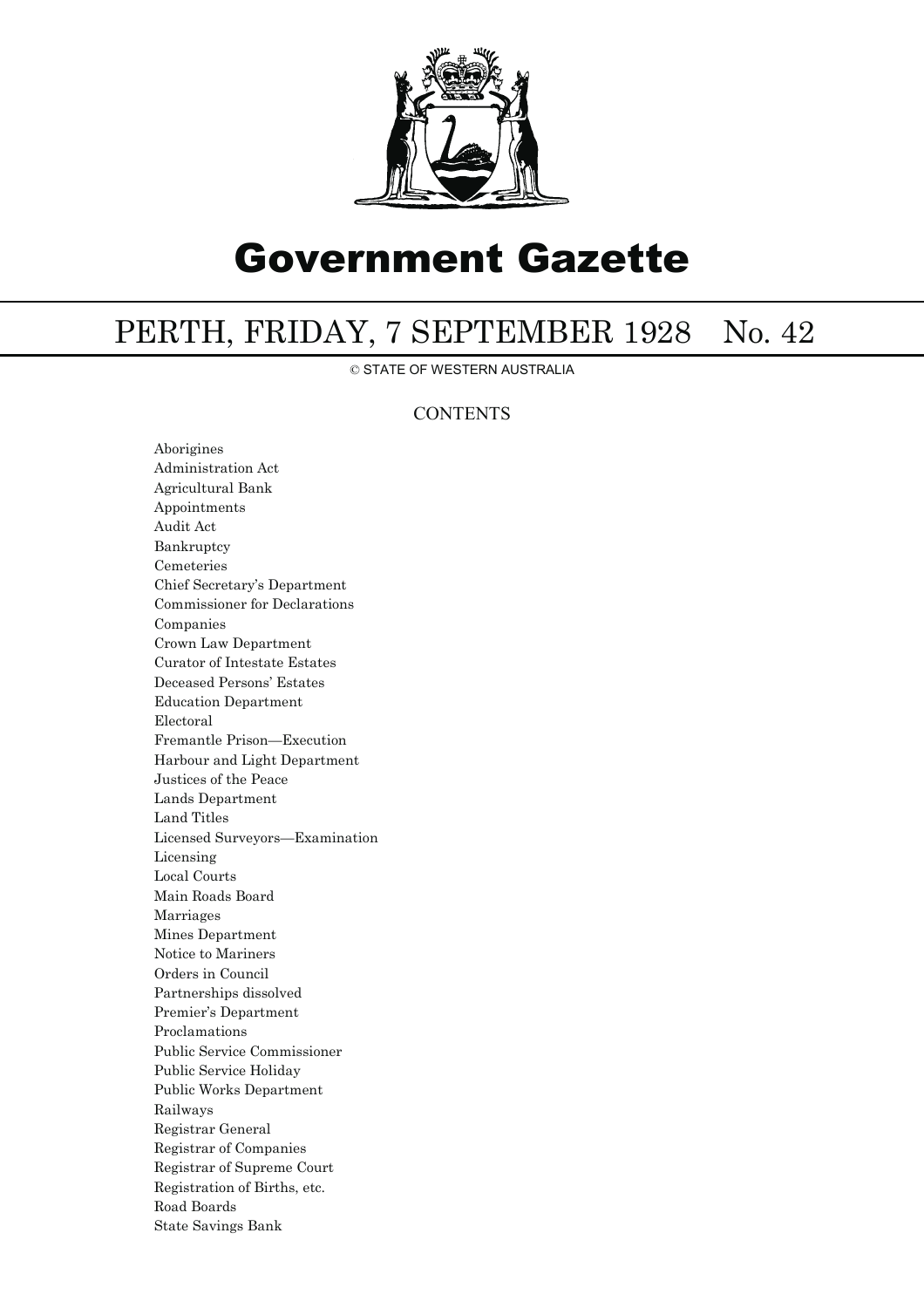

# Government Gazette

## PERTH, FRIDAY, 7 SEPTEMBER 1928 No. 42

© STATE OF WESTERN AUSTRALIA

### **CONTENTS**

Aborigines Administration Act Agricultural Bank Appointments Audit Act Bankruptcy Cemeteries Chief Secretary's Department Commissioner for Declarations Companies Crown Law Department Curator of Intestate Estates Deceased Persons' Estates Education Department Electoral Fremantle Prison—Execution Harbour and Light Department Justices of the Peace Lands Department Land Titles Licensed Surveyors—Examination Licensing Local Courts Main Roads Board Marriages Mines Department Notice to Mariners Orders in Council Partnerships dissolved Premier's Department Proclamations Public Service Commissioner Public Service Holiday Public Works Department Railways Registrar General Registrar of Companies Registrar of Supreme Court Registration of Births, etc. Road Boards State Savings Bank